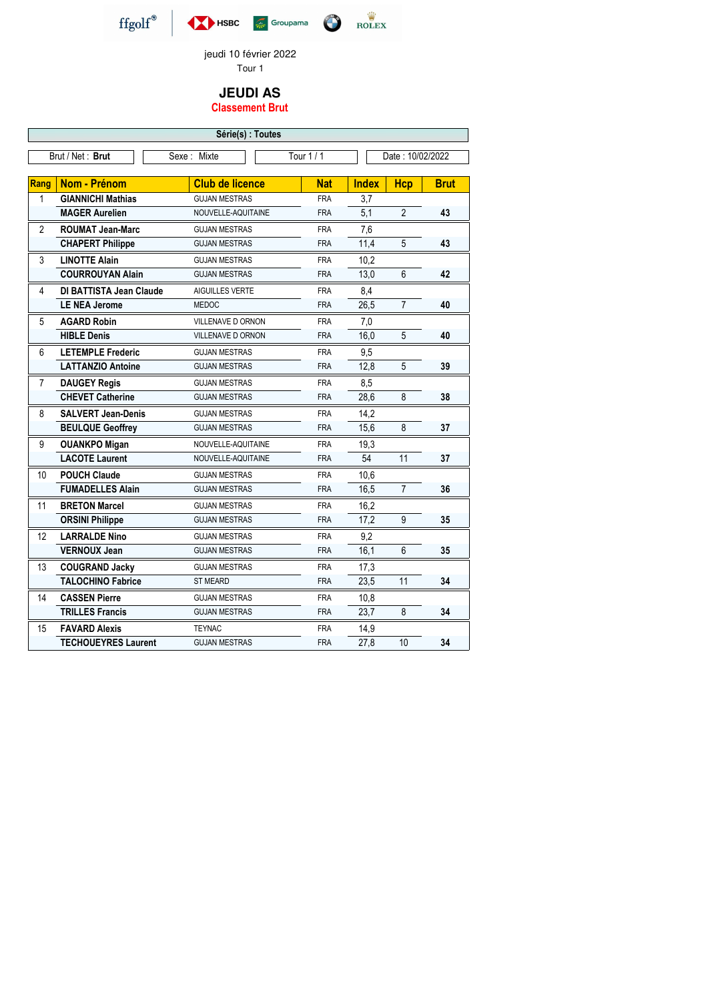## **JEUDI AS**

## **Classement Brut**







jeudi 10 février 2022 Tour 1

| Série(s) : Toutes |                                                                   |                          |            |              |                |             |  |
|-------------------|-------------------------------------------------------------------|--------------------------|------------|--------------|----------------|-------------|--|
|                   | Tour 1 / 1<br>Brut / Net: Brut<br>Date: 10/02/2022<br>Sexe: Mixte |                          |            |              |                |             |  |
|                   |                                                                   |                          |            |              |                |             |  |
| <b>Rang</b>       | Nom - Prénom                                                      | <b>Club de licence</b>   | <b>Nat</b> | <b>Index</b> | <b>Hcp</b>     | <b>Brut</b> |  |
| 1                 | <b>GIANNICHI Mathias</b>                                          | <b>GUJAN MESTRAS</b>     | <b>FRA</b> | 3,7          |                |             |  |
|                   | <b>MAGER Aurelien</b>                                             | NOUVELLE-AQUITAINE       | <b>FRA</b> | 5,1          | $\overline{2}$ | 43          |  |
| $\overline{2}$    | <b>ROUMAT Jean-Marc</b>                                           | <b>GUJAN MESTRAS</b>     | <b>FRA</b> | 7,6          |                |             |  |
|                   | <b>CHAPERT Philippe</b>                                           | <b>GUJAN MESTRAS</b>     | <b>FRA</b> | 11,4         | 5              | 43          |  |
| 3                 | <b>LINOTTE Alain</b>                                              | <b>GUJAN MESTRAS</b>     | <b>FRA</b> | 10,2         |                |             |  |
|                   | <b>COURROUYAN Alain</b>                                           | <b>GUJAN MESTRAS</b>     | <b>FRA</b> | 13,0         | 6              | 42          |  |
| 4                 | <b>DI BATTISTA Jean Claude</b>                                    | AIGUILLES VERTE          | <b>FRA</b> | 8,4          |                |             |  |
|                   | <b>LE NEA Jerome</b>                                              | <b>MEDOC</b>             | <b>FRA</b> | 26,5         | $\overline{7}$ | 40          |  |
| 5                 | <b>AGARD Robin</b>                                                | <b>VILLENAVE D ORNON</b> | <b>FRA</b> | 7,0          |                |             |  |
|                   | <b>HIBLE Denis</b>                                                | VILLENAVE D ORNON        | <b>FRA</b> | 16,0         | 5              | 40          |  |
| 6                 | <b>LETEMPLE Frederic</b>                                          | <b>GUJAN MESTRAS</b>     | <b>FRA</b> | 9,5          |                |             |  |
|                   | <b>LATTANZIO Antoine</b>                                          | <b>GUJAN MESTRAS</b>     | <b>FRA</b> | 12,8         | 5              | 39          |  |
| $\overline{7}$    | <b>DAUGEY Regis</b>                                               | <b>GUJAN MESTRAS</b>     | <b>FRA</b> | 8,5          |                |             |  |
|                   | <b>CHEVET Catherine</b>                                           | <b>GUJAN MESTRAS</b>     | <b>FRA</b> | 28,6         | 8              | 38          |  |
| 8                 | <b>SALVERT Jean-Denis</b>                                         | <b>GUJAN MESTRAS</b>     | <b>FRA</b> | 14,2         |                |             |  |
|                   | <b>BEULQUE Geoffrey</b>                                           | <b>GUJAN MESTRAS</b>     | <b>FRA</b> | 15,6         | 8              | 37          |  |
| 9                 | <b>OUANKPO Migan</b>                                              | NOUVELLE-AQUITAINE       | <b>FRA</b> | 19,3         |                |             |  |
|                   | <b>LACOTE Laurent</b>                                             | NOUVELLE-AQUITAINE       | <b>FRA</b> | 54           | 11             | 37          |  |
| 10                | <b>POUCH Claude</b>                                               | <b>GUJAN MESTRAS</b>     | <b>FRA</b> | 10,6         |                |             |  |
|                   | <b>FUMADELLES Alain</b>                                           | <b>GUJAN MESTRAS</b>     | <b>FRA</b> | 16,5         | $\overline{7}$ | 36          |  |
| 11                | <b>BRETON Marcel</b>                                              | <b>GUJAN MESTRAS</b>     | <b>FRA</b> | 16,2         |                |             |  |
|                   | <b>ORSINI Philippe</b>                                            | <b>GUJAN MESTRAS</b>     | <b>FRA</b> | 17,2         | 9              | 35          |  |
| 12                | <b>LARRALDE Nino</b>                                              | <b>GUJAN MESTRAS</b>     | <b>FRA</b> | 9,2          |                |             |  |
|                   | <b>VERNOUX Jean</b>                                               | <b>GUJAN MESTRAS</b>     | <b>FRA</b> | 16,1         | $6\phantom{.}$ | 35          |  |
| 13                | <b>COUGRAND Jacky</b>                                             | <b>GUJAN MESTRAS</b>     | <b>FRA</b> | 17,3         |                |             |  |
|                   | <b>TALOCHINO Fabrice</b>                                          | <b>ST MEARD</b>          | <b>FRA</b> | 23,5         | 11             | 34          |  |
| 14                | <b>CASSEN Pierre</b>                                              | <b>GUJAN MESTRAS</b>     | <b>FRA</b> | 10,8         |                |             |  |
|                   | <b>TRILLES Francis</b>                                            | <b>GUJAN MESTRAS</b>     | <b>FRA</b> | 23,7         | 8              | 34          |  |
| 15                | <b>FAVARD Alexis</b>                                              | <b>TEYNAC</b>            | <b>FRA</b> | 14,9         |                |             |  |
|                   | <b>TECHOUEYRES Laurent</b>                                        | <b>GUJAN MESTRAS</b>     | <b>FRA</b> | 27,8         | 10             | 34          |  |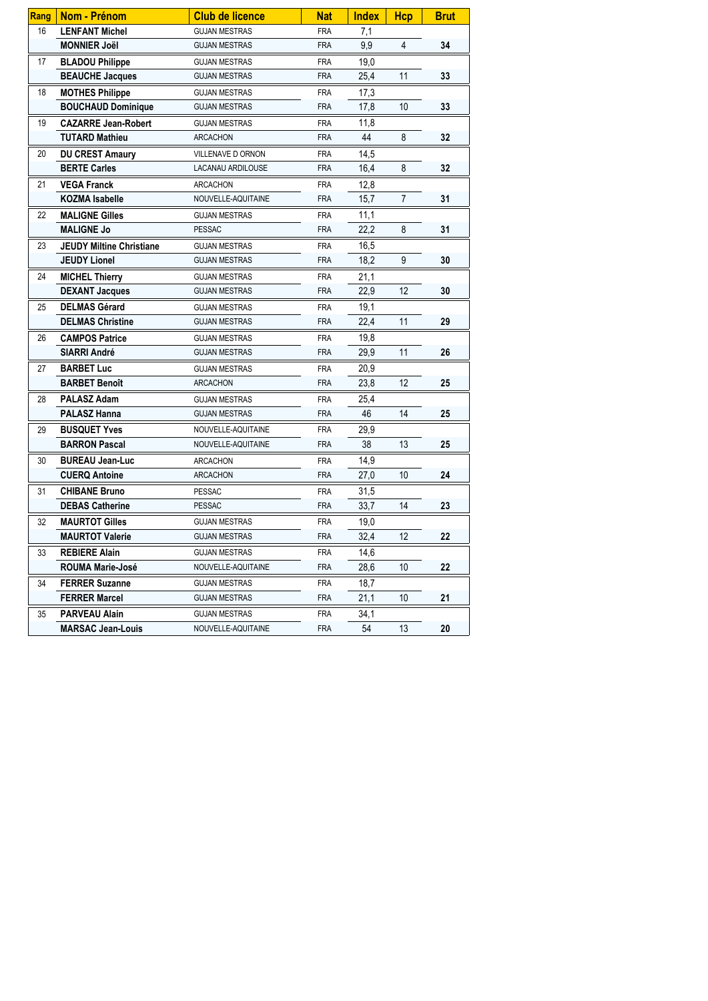| Rang | Nom - Prénom                    | <b>Club de licence</b> | <b>Nat</b> | <b>Index</b> | <b>Hcp</b>      | <b>Brut</b> |
|------|---------------------------------|------------------------|------------|--------------|-----------------|-------------|
| 16   | <b>LENFANT Michel</b>           | <b>GUJAN MESTRAS</b>   | <b>FRA</b> | 7,1          |                 |             |
|      | <b>MONNIER Joël</b>             | <b>GUJAN MESTRAS</b>   | <b>FRA</b> | 9,9          | 4               | 34          |
| 17   | <b>BLADOU Philippe</b>          | <b>GUJAN MESTRAS</b>   | <b>FRA</b> | 19,0         |                 |             |
|      | <b>BEAUCHE Jacques</b>          | <b>GUJAN MESTRAS</b>   | <b>FRA</b> | 25,4         | 11              | 33          |
| 18   | <b>MOTHES Philippe</b>          | <b>GUJAN MESTRAS</b>   | <b>FRA</b> | 17,3         |                 |             |
|      | <b>BOUCHAUD Dominique</b>       | <b>GUJAN MESTRAS</b>   | <b>FRA</b> | 17,8         | 10              | 33          |
| 19   | <b>CAZARRE Jean-Robert</b>      | <b>GUJAN MESTRAS</b>   | <b>FRA</b> | 11,8         |                 |             |
|      | <b>TUTARD Mathieu</b>           | <b>ARCACHON</b>        | <b>FRA</b> | 44           | 8               | 32          |
| 20   | <b>DU CREST Amaury</b>          | VILLENAVE D ORNON      | <b>FRA</b> | 14,5         |                 |             |
|      | <b>BERTE Carles</b>             | LACANAU ARDILOUSE      | <b>FRA</b> | 16,4         | 8               | 32          |
| 21   | <b>VEGA Franck</b>              | <b>ARCACHON</b>        | <b>FRA</b> | 12,8         |                 |             |
|      | <b>KOZMA Isabelle</b>           | NOUVELLE-AQUITAINE     | <b>FRA</b> | 15,7         | $\overline{7}$  | 31          |
| 22   | <b>MALIGNE Gilles</b>           | <b>GUJAN MESTRAS</b>   | <b>FRA</b> | 11,1         |                 |             |
|      | <b>MALIGNE Jo</b>               | <b>PESSAC</b>          | <b>FRA</b> | 22,2         | 8               | 31          |
| 23   | <b>JEUDY Miltine Christiane</b> | <b>GUJAN MESTRAS</b>   | <b>FRA</b> | 16,5         |                 |             |
|      | <b>JEUDY Lionel</b>             | <b>GUJAN MESTRAS</b>   | <b>FRA</b> | 18,2         | 9               | 30          |
| 24   | <b>MICHEL Thierry</b>           | <b>GUJAN MESTRAS</b>   | <b>FRA</b> | 21,1         |                 |             |
|      | <b>DEXANT Jacques</b>           | <b>GUJAN MESTRAS</b>   | <b>FRA</b> | 22,9         | 12              | 30          |
| 25   | <b>DELMAS Gérard</b>            | <b>GUJAN MESTRAS</b>   | <b>FRA</b> | 19,1         |                 |             |
|      | <b>DELMAS Christine</b>         | <b>GUJAN MESTRAS</b>   | <b>FRA</b> | 22,4         | 11              | 29          |
| 26   | <b>CAMPOS Patrice</b>           | <b>GUJAN MESTRAS</b>   | <b>FRA</b> | 19,8         |                 |             |
|      | <b>SIARRI André</b>             | <b>GUJAN MESTRAS</b>   | <b>FRA</b> | 29,9         | 11              | 26          |
| 27   | <b>BARBET Luc</b>               | <b>GUJAN MESTRAS</b>   | <b>FRA</b> | 20,9         |                 |             |
|      | <b>BARBET Benoît</b>            | <b>ARCACHON</b>        | <b>FRA</b> | 23,8         | 12              | 25          |
| 28   | <b>PALASZ Adam</b>              | <b>GUJAN MESTRAS</b>   | <b>FRA</b> | 25,4         |                 |             |
|      | <b>PALASZ Hanna</b>             | <b>GUJAN MESTRAS</b>   | <b>FRA</b> | 46           | 14              | 25          |
| 29   | <b>BUSQUET Yves</b>             | NOUVELLE-AQUITAINE     | <b>FRA</b> | 29,9         |                 |             |
|      | <b>BARRON Pascal</b>            | NOUVELLE-AQUITAINE     | <b>FRA</b> | 38           | 13              | 25          |
| 30   | <b>BUREAU Jean-Luc</b>          | <b>ARCACHON</b>        | <b>FRA</b> | 14,9         |                 |             |
|      | <b>CUERQ Antoine</b>            | <b>ARCACHON</b>        | <b>FRA</b> | 27,0         | 10 <sup>°</sup> | 24          |
| 31   | <b>CHIBANE Bruno</b>            | <b>PESSAC</b>          | <b>FRA</b> | 31,5         |                 |             |
|      | <b>DEBAS Catherine</b>          | <b>PESSAC</b>          | <b>FRA</b> | 33,7         | 14              | 23          |
| 32   | <b>MAURTOT Gilles</b>           | <b>GUJAN MESTRAS</b>   | <b>FRA</b> | 19,0         |                 |             |
|      | <b>MAURTOT Valerie</b>          | <b>GUJAN MESTRAS</b>   | <b>FRA</b> | 32,4         | 12              | 22          |
| 33   | <b>REBIERE Alain</b>            | <b>GUJAN MESTRAS</b>   | <b>FRA</b> | 14,6         |                 |             |
|      | <b>ROUMA Marie-José</b>         | NOUVELLE-AQUITAINE     | <b>FRA</b> | 28,6         | 10 <sup>°</sup> | 22          |
| 34   | <b>FERRER Suzanne</b>           | <b>GUJAN MESTRAS</b>   | <b>FRA</b> | 18,7         |                 |             |
|      | <b>FERRER Marcel</b>            | <b>GUJAN MESTRAS</b>   | <b>FRA</b> | 21,1         | 10 <sup>1</sup> | 21          |
| 35   | <b>PARVEAU Alain</b>            | <b>GUJAN MESTRAS</b>   | <b>FRA</b> | 34,1         |                 |             |
|      | <b>MARSAC Jean-Louis</b>        | NOUVELLE-AQUITAINE     | <b>FRA</b> | 54           | 13              | 20          |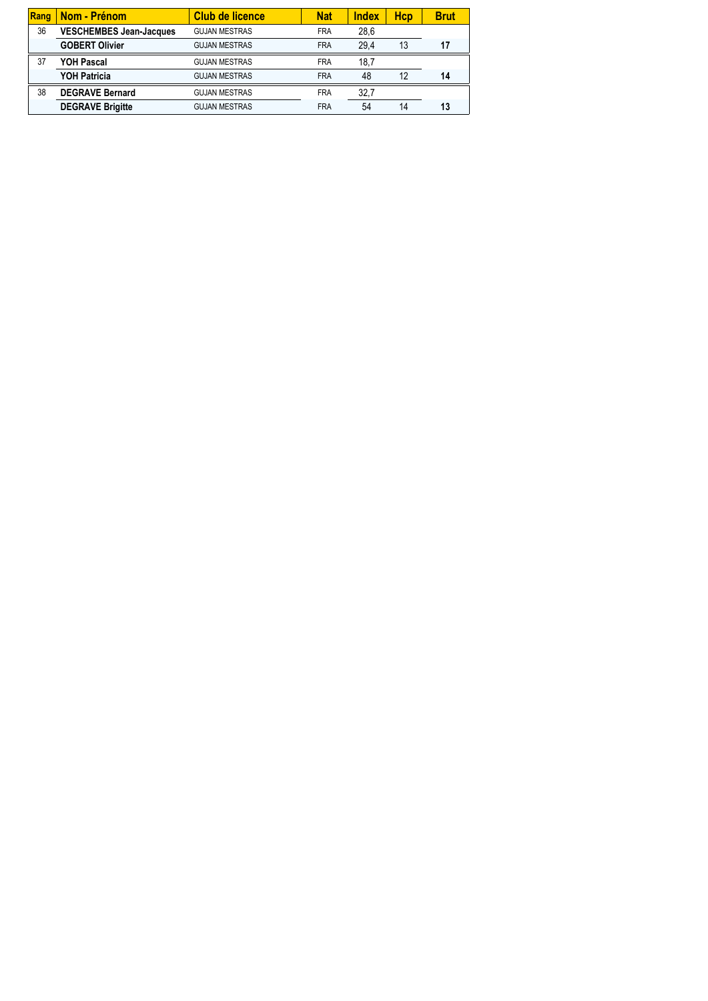| Rang | Nom - Prénom                   | <b>Club de licence</b> | <b>Nat</b> | <b>Index</b> | <b>Hcp</b> | <b>Brut</b> |
|------|--------------------------------|------------------------|------------|--------------|------------|-------------|
| 36   | <b>VESCHEMBES Jean-Jacques</b> | <b>GUJAN MESTRAS</b>   | <b>FRA</b> | 28,6         |            |             |
|      | <b>GOBERT Olivier</b>          | <b>GUJAN MESTRAS</b>   | <b>FRA</b> | 29.4         | 13         |             |
| 37   | <b>YOH Pascal</b>              | <b>GUJAN MESTRAS</b>   | <b>FRA</b> | 18,7         |            |             |
|      | <b>YOH Patricia</b>            | <b>GUJAN MESTRAS</b>   | <b>FRA</b> | 48           | 12         | 14          |
| 38   | <b>DEGRAVE Bernard</b>         | <b>GUJAN MESTRAS</b>   | <b>FRA</b> | 32,7         |            |             |
|      | <b>DEGRAVE Brigitte</b>        | <b>GUJAN MESTRAS</b>   | <b>FRA</b> | 54           | 14         | 13          |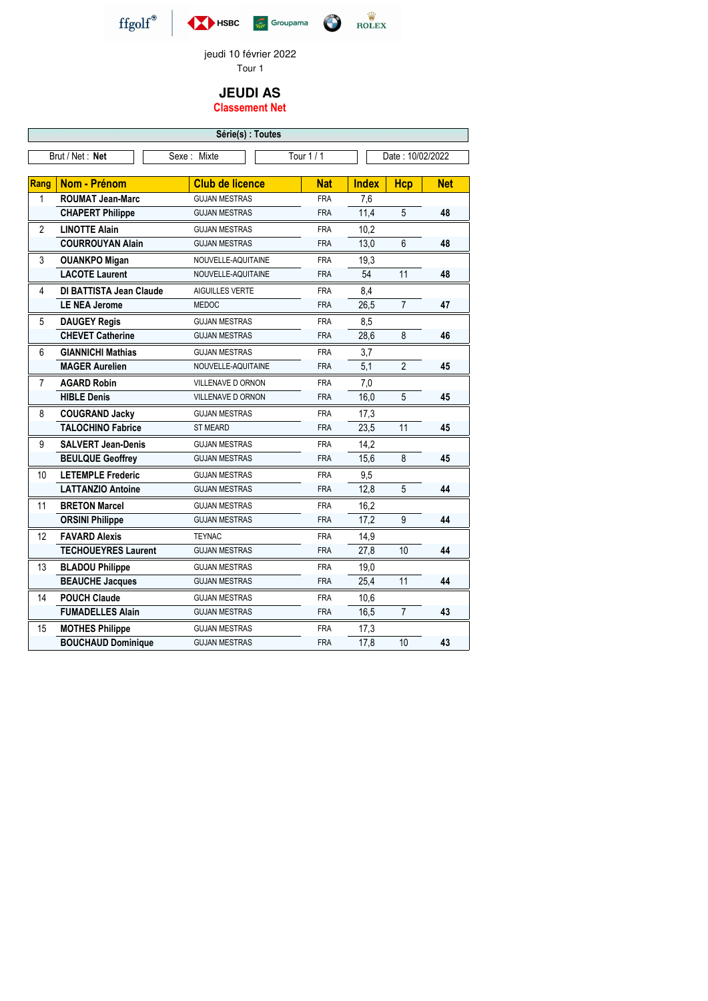## **JEUDI AS Classement Net**







jeudi 10 février 2022 Tour 1

| Série(s) : Toutes |                                |                          |            |              |                  |            |  |
|-------------------|--------------------------------|--------------------------|------------|--------------|------------------|------------|--|
|                   | Brut / Net : Net               | Sexe: Mixte              | Tour 1 / 1 |              | Date: 10/02/2022 |            |  |
|                   |                                |                          |            |              |                  |            |  |
| <b>Rang</b>       | <b>Nom - Prénom</b>            | <b>Club de licence</b>   | <b>Nat</b> | <b>Index</b> | <b>Hcp</b>       | <b>Net</b> |  |
| 1                 | <b>ROUMAT Jean-Marc</b>        | <b>GUJAN MESTRAS</b>     | <b>FRA</b> | 7,6          |                  |            |  |
|                   | <b>CHAPERT Philippe</b>        | <b>GUJAN MESTRAS</b>     | <b>FRA</b> | 11,4         | $5\phantom{.}$   | 48         |  |
| $\overline{2}$    | <b>LINOTTE Alain</b>           | <b>GUJAN MESTRAS</b>     | <b>FRA</b> | 10,2         |                  |            |  |
|                   | <b>COURROUYAN Alain</b>        | <b>GUJAN MESTRAS</b>     | <b>FRA</b> | 13,0         | $6\phantom{1}$   | 48         |  |
| 3                 | <b>OUANKPO Migan</b>           | NOUVELLE-AQUITAINE       | <b>FRA</b> | 19,3         |                  |            |  |
|                   | <b>LACOTE Laurent</b>          | NOUVELLE-AQUITAINE       | <b>FRA</b> | 54           | 11               | 48         |  |
| 4                 | <b>DI BATTISTA Jean Claude</b> | AIGUILLES VERTE          | <b>FRA</b> | 8,4          |                  |            |  |
|                   | <b>LE NEA Jerome</b>           | <b>MEDOC</b>             | <b>FRA</b> | 26,5         | $\overline{7}$   | 47         |  |
| 5                 | <b>DAUGEY Regis</b>            | <b>GUJAN MESTRAS</b>     | <b>FRA</b> | 8,5          |                  |            |  |
|                   | <b>CHEVET Catherine</b>        | <b>GUJAN MESTRAS</b>     | <b>FRA</b> | 28,6         | 8                | 46         |  |
| 6                 | <b>GIANNICHI Mathias</b>       | <b>GUJAN MESTRAS</b>     | <b>FRA</b> | 3,7          |                  |            |  |
|                   | <b>MAGER Aurelien</b>          | NOUVELLE-AQUITAINE       | <b>FRA</b> | 5,1          | $\overline{2}$   | 45         |  |
| $\overline{7}$    | <b>AGARD Robin</b>             | VILLENAVE D ORNON        | <b>FRA</b> | 7,0          |                  |            |  |
|                   | <b>HIBLE Denis</b>             | <b>VILLENAVE D ORNON</b> | <b>FRA</b> | 16,0         | $5\phantom{.0}$  | 45         |  |
| 8                 | <b>COUGRAND Jacky</b>          | <b>GUJAN MESTRAS</b>     | <b>FRA</b> | 17,3         |                  |            |  |
|                   | <b>TALOCHINO Fabrice</b>       | <b>ST MEARD</b>          | <b>FRA</b> | 23,5         | 11               | 45         |  |
| 9                 | <b>SALVERT Jean-Denis</b>      | <b>GUJAN MESTRAS</b>     | <b>FRA</b> | 14,2         |                  |            |  |
|                   | <b>BEULQUE Geoffrey</b>        | <b>GUJAN MESTRAS</b>     | <b>FRA</b> | 15,6         | 8                | 45         |  |
| 10                | <b>LETEMPLE Frederic</b>       | <b>GUJAN MESTRAS</b>     | <b>FRA</b> | 9,5          |                  |            |  |
|                   | <b>LATTANZIO Antoine</b>       | <b>GUJAN MESTRAS</b>     | <b>FRA</b> | 12,8         | 5                | 44         |  |
| 11                | <b>BRETON Marcel</b>           | <b>GUJAN MESTRAS</b>     | <b>FRA</b> | 16,2         |                  |            |  |
|                   | <b>ORSINI Philippe</b>         | <b>GUJAN MESTRAS</b>     | <b>FRA</b> | 17,2         | 9                | 44         |  |
| 12                | <b>FAVARD Alexis</b>           | <b>TEYNAC</b>            | <b>FRA</b> | 14,9         |                  |            |  |
|                   | <b>TECHOUEYRES Laurent</b>     | <b>GUJAN MESTRAS</b>     | <b>FRA</b> | 27,8         | 10               | 44         |  |
| 13                | <b>BLADOU Philippe</b>         | <b>GUJAN MESTRAS</b>     | <b>FRA</b> | 19,0         |                  |            |  |
|                   | <b>BEAUCHE Jacques</b>         | <b>GUJAN MESTRAS</b>     | <b>FRA</b> | 25,4         | 11               | 44         |  |
| 14                | <b>POUCH Claude</b>            | <b>GUJAN MESTRAS</b>     | <b>FRA</b> | 10,6         |                  |            |  |
|                   | <b>FUMADELLES Alain</b>        | <b>GUJAN MESTRAS</b>     | <b>FRA</b> | 16,5         | $\overline{7}$   | 43         |  |
| 15                | <b>MOTHES Philippe</b>         | <b>GUJAN MESTRAS</b>     | <b>FRA</b> | 17,3         |                  |            |  |
|                   | <b>BOUCHAUD Dominique</b>      | <b>GUJAN MESTRAS</b>     | <b>FRA</b> | 17,8         | 10               | 43         |  |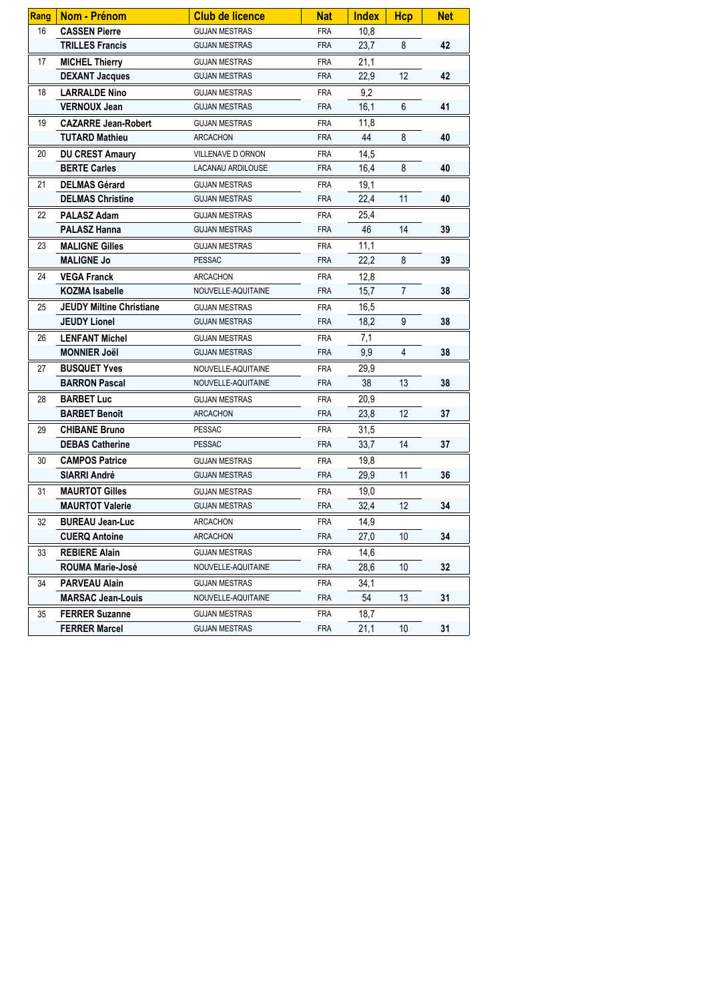| Rang | Nom - Prénom                    | <b>Club de licence</b> | <b>Nat</b> | <b>Index</b> | <b>Hcp</b>      | <b>Net</b> |
|------|---------------------------------|------------------------|------------|--------------|-----------------|------------|
| 16   | <b>CASSEN Pierre</b>            | <b>GUJAN MESTRAS</b>   | <b>FRA</b> | 10,8         |                 |            |
|      | <b>TRILLES Francis</b>          | <b>GUJAN MESTRAS</b>   | <b>FRA</b> | 23,7         | 8               | 42         |
| 17   | <b>MICHEL Thierry</b>           | <b>GUJAN MESTRAS</b>   | <b>FRA</b> | 21,1         |                 |            |
|      | <b>DEXANT Jacques</b>           | <b>GUJAN MESTRAS</b>   | <b>FRA</b> | 22,9         | 12              | 42         |
| 18   | <b>LARRALDE Nino</b>            | <b>GUJAN MESTRAS</b>   | <b>FRA</b> | 9,2          |                 |            |
|      | <b>VERNOUX Jean</b>             | <b>GUJAN MESTRAS</b>   | <b>FRA</b> | 16,1         | 6               | 41         |
| 19   | <b>CAZARRE Jean-Robert</b>      | <b>GUJAN MESTRAS</b>   | <b>FRA</b> | 11,8         |                 |            |
|      | <b>TUTARD Mathieu</b>           | ARCACHON               | <b>FRA</b> | 44           | 8               | 40         |
| 20   | <b>DU CREST Amaury</b>          | VILLENAVE D ORNON      | <b>FRA</b> | 14,5         |                 |            |
|      | <b>BERTE Carles</b>             | LACANAU ARDILOUSE      | <b>FRA</b> | 16,4         | 8               | 40         |
| 21   | <b>DELMAS Gérard</b>            | <b>GUJAN MESTRAS</b>   | <b>FRA</b> | 19,1         |                 |            |
|      | <b>DELMAS Christine</b>         | <b>GUJAN MESTRAS</b>   | <b>FRA</b> | 22,4         | 11              | 40         |
| 22   | <b>PALASZ Adam</b>              | <b>GUJAN MESTRAS</b>   | <b>FRA</b> | 25,4         |                 |            |
|      | <b>PALASZ Hanna</b>             | <b>GUJAN MESTRAS</b>   | <b>FRA</b> | 46           | 14              | 39         |
| 23   | <b>MALIGNE Gilles</b>           | <b>GUJAN MESTRAS</b>   | <b>FRA</b> | 11,1         |                 |            |
|      | <b>MALIGNE Jo</b>               | <b>PESSAC</b>          | <b>FRA</b> | 22,2         | 8               | 39         |
| 24   | <b>VEGA Franck</b>              | <b>ARCACHON</b>        | <b>FRA</b> | 12,8         |                 |            |
|      | <b>KOZMA Isabelle</b>           | NOUVELLE-AQUITAINE     | <b>FRA</b> | 15,7         | $\overline{7}$  | 38         |
| 25   | <b>JEUDY Miltine Christiane</b> | <b>GUJAN MESTRAS</b>   | <b>FRA</b> | 16,5         |                 |            |
|      | <b>JEUDY Lionel</b>             | <b>GUJAN MESTRAS</b>   | <b>FRA</b> | 18,2         | 9               | 38         |
| 26   | <b>LENFANT Michel</b>           | <b>GUJAN MESTRAS</b>   | <b>FRA</b> | 7,1          |                 |            |
|      | <b>MONNIER Joël</b>             | <b>GUJAN MESTRAS</b>   | <b>FRA</b> | 9,9          | 4               | 38         |
| 27   | <b>BUSQUET Yves</b>             | NOUVELLE-AQUITAINE     | <b>FRA</b> | 29,9         |                 |            |
|      | <b>BARRON Pascal</b>            | NOUVELLE-AQUITAINE     | <b>FRA</b> | 38           | 13              | 38         |
| 28   | <b>BARBET Luc</b>               | <b>GUJAN MESTRAS</b>   | <b>FRA</b> | 20,9         |                 |            |
|      | <b>BARBET Benoît</b>            | <b>ARCACHON</b>        | <b>FRA</b> | 23,8         | 12              | 37         |
| 29   | <b>CHIBANE Bruno</b>            | <b>PESSAC</b>          | <b>FRA</b> | 31,5         |                 |            |
|      | <b>DEBAS Catherine</b>          | <b>PESSAC</b>          | <b>FRA</b> | 33,7         | 14              | 37         |
| 30   | <b>CAMPOS Patrice</b>           | <b>GUJAN MESTRAS</b>   | <b>FRA</b> | 19,8         |                 |            |
|      | <b>SIARRI André</b>             | <b>GUJAN MESTRAS</b>   | <b>FRA</b> | 29,9         | 11              | 36         |
| 31   | <b>MAURTOT Gilles</b>           | <b>GUJAN MESTRAS</b>   | <b>FRA</b> | 19,0         |                 |            |
|      | <b>MAURTOT Valerie</b>          | <b>GUJAN MESTRAS</b>   | <b>FRA</b> | 32,4         | 12              | 34         |
| 32   | <b>BUREAU Jean-Luc</b>          | <b>ARCACHON</b>        | <b>FRA</b> | 14,9         |                 |            |
|      | <b>CUERQ Antoine</b>            | <b>ARCACHON</b>        | <b>FRA</b> | 27,0         | 10              | 34         |
| 33   | <b>REBIERE Alain</b>            | <b>GUJAN MESTRAS</b>   | <b>FRA</b> | 14,6         |                 |            |
|      | <b>ROUMA Marie-José</b>         | NOUVELLE-AQUITAINE     | <b>FRA</b> | 28,6         | 10 <sup>°</sup> | 32         |
| 34   | <b>PARVEAU Alain</b>            | <b>GUJAN MESTRAS</b>   | <b>FRA</b> | 34,1         |                 |            |
|      | <b>MARSAC Jean-Louis</b>        | NOUVELLE-AQUITAINE     | <b>FRA</b> | 54           | 13              | 31         |
| 35   | <b>FERRER Suzanne</b>           | <b>GUJAN MESTRAS</b>   | <b>FRA</b> | 18,7         |                 |            |
|      | <b>FERRER Marcel</b>            | <b>GUJAN MESTRAS</b>   | <b>FRA</b> | 21,1         | 10 <sup>°</sup> | 31         |